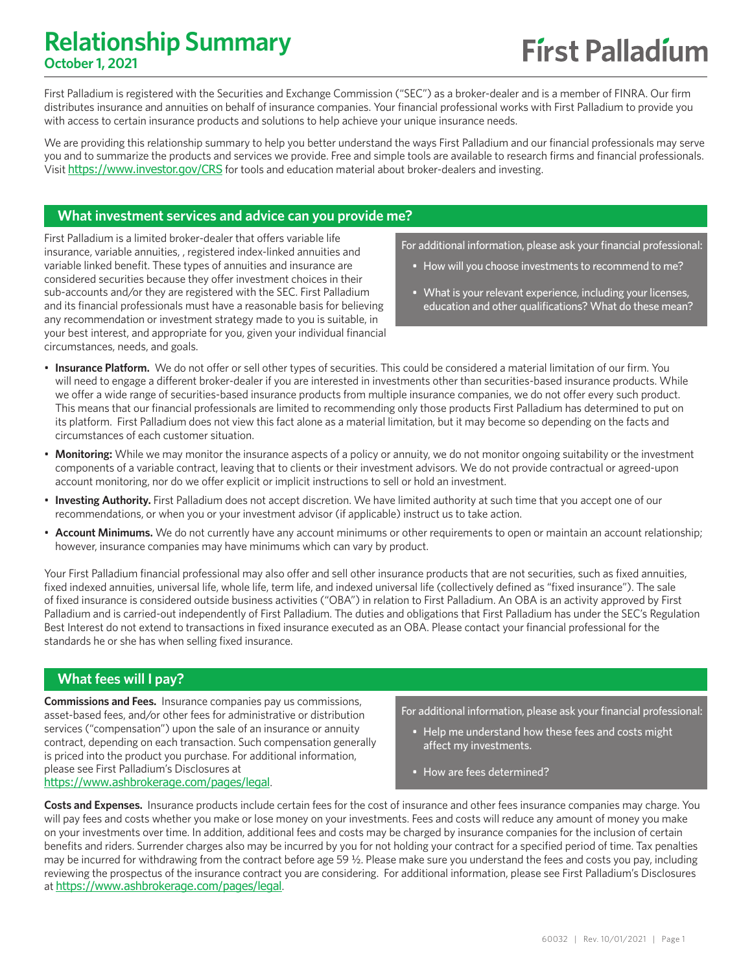### **Relationship Summary October 1, 2021**

First Palladium is registered with the Securities and Exchange Commission ("SEC") as a broker-dealer and is a member of FINRA. Our firm distributes insurance and annuities on behalf of insurance companies. Your financial professional works with First Palladium to provide you with access to certain insurance products and solutions to help achieve your unique insurance needs.

We are providing this relationship summary to help you better understand the ways First Palladium and our financial professionals may serve you and to summarize the products and services we provide. Free and simple tools are available to research firms and financial professionals. Visit https://www.investor.gov/CRS for tools and education material about broker-dealers and investing.

### **What investment services and advice can you provide me?**

First Palladium is a limited broker-dealer that offers variable life insurance, variable annuities, , registered index-linked annuities and variable linked benefit. These types of annuities and insurance are considered securities because they offer investment choices in their sub-accounts and/or they are registered with the SEC. First Palladium and its financial professionals must have a reasonable basis for believing any recommendation or investment strategy made to you is suitable, in your best interest, and appropriate for you, given your individual financial circumstances, needs, and goals.

For additional information, please ask your financial professional:

- How will you choose investments to recommend to me?
- What is your relevant experience, including your licenses, education and other qualifications? What do these mean?
- **Insurance Platform.** We do not offer or sell other types of securities. This could be considered a material limitation of our firm. You will need to engage a different broker-dealer if you are interested in investments other than securities-based insurance products. While we offer a wide range of securities-based insurance products from multiple insurance companies, we do not offer every such product. This means that our financial professionals are limited to recommending only those products First Palladium has determined to put on its platform. First Palladium does not view this fact alone as a material limitation, but it may become so depending on the facts and circumstances of each customer situation.
- **Monitoring:** While we may monitor the insurance aspects of a policy or annuity, we do not monitor ongoing suitability or the investment components of a variable contract, leaving that to clients or their investment advisors. We do not provide contractual or agreed-upon account monitoring, nor do we offer explicit or implicit instructions to sell or hold an investment.
- **Investing Authority.** First Palladium does not accept discretion. We have limited authority at such time that you accept one of our recommendations, or when you or your investment advisor (if applicable) instruct us to take action.
- **Account Minimums.** We do not currently have any account minimums or other requirements to open or maintain an account relationship; however, insurance companies may have minimums which can vary by product.

Your First Palladium financial professional may also offer and sell other insurance products that are not securities, such as fixed annuities, fixed indexed annuities, universal life, whole life, term life, and indexed universal life (collectively defined as "fixed insurance"). The sale of fixed insurance is considered outside business activities ("OBA") in relation to First Palladium. An OBA is an activity approved by First Palladium and is carried-out independently of First Palladium. The duties and obligations that First Palladium has under the SEC's Regulation Best Interest do not extend to transactions in fixed insurance executed as an OBA. Please contact your financial professional for the standards he or she has when selling fixed insurance.

### **What fees will I pay?**

**Commissions and Fees.** Insurance companies pay us commissions, asset-based fees, and/or other fees for administrative or distribution services ("compensation") upon the sale of an insurance or annuity contract, depending on each transaction. Such compensation generally is priced into the product you purchase. For additional information, please see First Palladium's Disclosures at https://www.ashbrokerage.com/pages/legal.

For additional information, please ask your financial professional:

- Help me understand how these fees and costs might affect my investments.
- How are fees determined?

**Costs and Expenses.** Insurance products include certain fees for the cost of insurance and other fees insurance companies may charge. You will pay fees and costs whether you make or lose money on your investments. Fees and costs will reduce any amount of money you make on your investments over time. In addition, additional fees and costs may be charged by insurance companies for the inclusion of certain benefits and riders. Surrender charges also may be incurred by you for not holding your contract for a specified period of time. Tax penalties may be incurred for withdrawing from the contract before age 59 ½. Please make sure you understand the fees and costs you pay, including reviewing the prospectus of the insurance contract you are considering. For additional information, please see First Palladium's Disclosures at https://www.ashbrokerage.com/pages/legal.